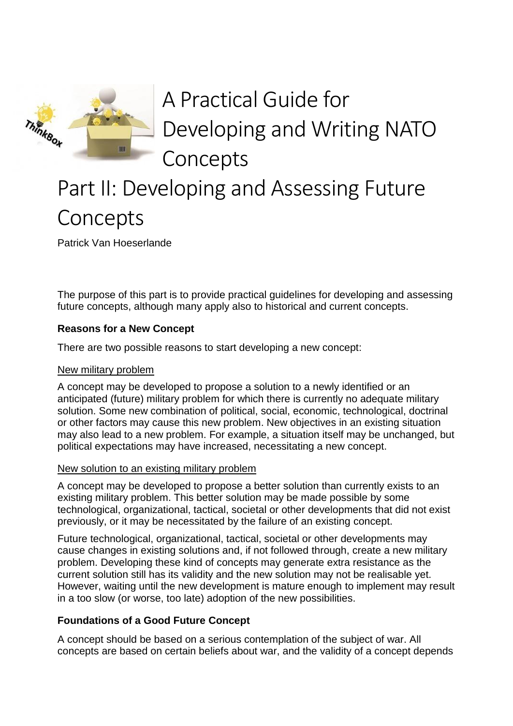

# A Practical Guide for Developing and Writing NATO Concepts

# Part II: Developing and Assessing Future Concepts

Patrick Van Hoeserlande

The purpose of this part is to provide practical guidelines for developing and assessing future concepts, although many apply also to historical and current concepts.

# **Reasons for a New Concept**

There are two possible reasons to start developing a new concept:

### New military problem

A concept may be developed to propose a solution to a newly identified or an anticipated (future) military problem for which there is currently no adequate military solution. Some new combination of political, social, economic, technological, doctrinal or other factors may cause this new problem. New objectives in an existing situation may also lead to a new problem. For example, a situation itself may be unchanged, but political expectations may have increased, necessitating a new concept.

### New solution to an existing military problem

A concept may be developed to propose a better solution than currently exists to an existing military problem. This better solution may be made possible by some technological, organizational, tactical, societal or other developments that did not exist previously, or it may be necessitated by the failure of an existing concept.

Future technological, organizational, tactical, societal or other developments may cause changes in existing solutions and, if not followed through, create a new military problem. Developing these kind of concepts may generate extra resistance as the current solution still has its validity and the new solution may not be realisable yet. However, waiting until the new development is mature enough to implement may result in a too slow (or worse, too late) adoption of the new possibilities.

# **Foundations of a Good Future Concept**

A concept should be based on a serious contemplation of the subject of war. All concepts are based on certain beliefs about war, and the validity of a concept depends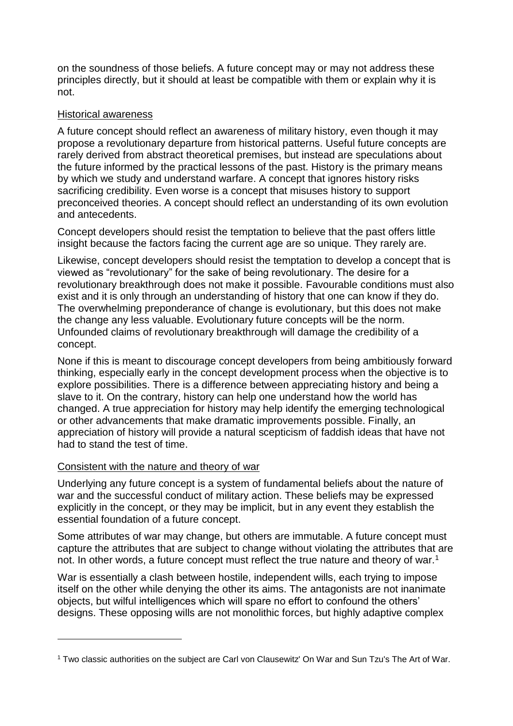on the soundness of those beliefs. A future concept may or may not address these principles directly, but it should at least be compatible with them or explain why it is not.

## Historical awareness

A future concept should reflect an awareness of military history, even though it may propose a revolutionary departure from historical patterns. Useful future concepts are rarely derived from abstract theoretical premises, but instead are speculations about the future informed by the practical lessons of the past. History is the primary means by which we study and understand warfare. A concept that ignores history risks sacrificing credibility. Even worse is a concept that misuses history to support preconceived theories. A concept should reflect an understanding of its own evolution and antecedents.

Concept developers should resist the temptation to believe that the past offers little insight because the factors facing the current age are so unique. They rarely are.

Likewise, concept developers should resist the temptation to develop a concept that is viewed as "revolutionary" for the sake of being revolutionary. The desire for a revolutionary breakthrough does not make it possible. Favourable conditions must also exist and it is only through an understanding of history that one can know if they do. The overwhelming preponderance of change is evolutionary, but this does not make the change any less valuable. Evolutionary future concepts will be the norm. Unfounded claims of revolutionary breakthrough will damage the credibility of a concept.

None if this is meant to discourage concept developers from being ambitiously forward thinking, especially early in the concept development process when the objective is to explore possibilities. There is a difference between appreciating history and being a slave to it. On the contrary, history can help one understand how the world has changed. A true appreciation for history may help identify the emerging technological or other advancements that make dramatic improvements possible. Finally, an appreciation of history will provide a natural scepticism of faddish ideas that have not had to stand the test of time.

### Consistent with the nature and theory of war

1

Underlying any future concept is a system of fundamental beliefs about the nature of war and the successful conduct of military action. These beliefs may be expressed explicitly in the concept, or they may be implicit, but in any event they establish the essential foundation of a future concept.

Some attributes of war may change, but others are immutable. A future concept must capture the attributes that are subject to change without violating the attributes that are not. In other words, a future concept must reflect the true nature and theory of war.<sup>1</sup>

War is essentially a clash between hostile, independent wills, each trying to impose itself on the other while denying the other its aims. The antagonists are not inanimate objects, but wilful intelligences which will spare no effort to confound the others' designs. These opposing wills are not monolithic forces, but highly adaptive complex

<sup>1</sup> Two classic authorities on the subject are Carl von Clausewitz' On War and Sun Tzu's The Art of War.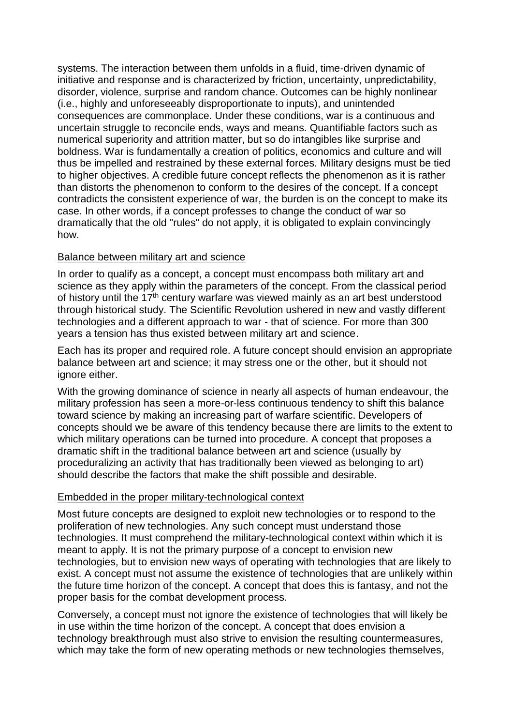systems. The interaction between them unfolds in a fluid, time-driven dynamic of initiative and response and is characterized by friction, uncertainty, unpredictability, disorder, violence, surprise and random chance. Outcomes can be highly nonlinear (i.e., highly and unforeseeably disproportionate to inputs), and unintended consequences are commonplace. Under these conditions, war is a continuous and uncertain struggle to reconcile ends, ways and means. Quantifiable factors such as numerical superiority and attrition matter, but so do intangibles like surprise and boldness. War is fundamentally a creation of politics, economics and culture and will thus be impelled and restrained by these external forces. Military designs must be tied to higher objectives. A credible future concept reflects the phenomenon as it is rather than distorts the phenomenon to conform to the desires of the concept. If a concept contradicts the consistent experience of war, the burden is on the concept to make its case. In other words, if a concept professes to change the conduct of war so dramatically that the old "rules" do not apply, it is obligated to explain convincingly how.

### Balance between military art and science

In order to qualify as a concept, a concept must encompass both military art and science as they apply within the parameters of the concept. From the classical period of history until the 17th century warfare was viewed mainly as an art best understood through historical study. The Scientific Revolution ushered in new and vastly different technologies and a different approach to war - that of science. For more than 300 years a tension has thus existed between military art and science.

Each has its proper and required role. A future concept should envision an appropriate balance between art and science; it may stress one or the other, but it should not ignore either.

With the growing dominance of science in nearly all aspects of human endeavour, the military profession has seen a more-or-less continuous tendency to shift this balance toward science by making an increasing part of warfare scientific. Developers of concepts should we be aware of this tendency because there are limits to the extent to which military operations can be turned into procedure. A concept that proposes a dramatic shift in the traditional balance between art and science (usually by proceduralizing an activity that has traditionally been viewed as belonging to art) should describe the factors that make the shift possible and desirable.

# Embedded in the proper military-technological context

Most future concepts are designed to exploit new technologies or to respond to the proliferation of new technologies. Any such concept must understand those technologies. It must comprehend the military-technological context within which it is meant to apply. It is not the primary purpose of a concept to envision new technologies, but to envision new ways of operating with technologies that are likely to exist. A concept must not assume the existence of technologies that are unlikely within the future time horizon of the concept. A concept that does this is fantasy, and not the proper basis for the combat development process.

Conversely, a concept must not ignore the existence of technologies that will likely be in use within the time horizon of the concept. A concept that does envision a technology breakthrough must also strive to envision the resulting countermeasures, which may take the form of new operating methods or new technologies themselves,